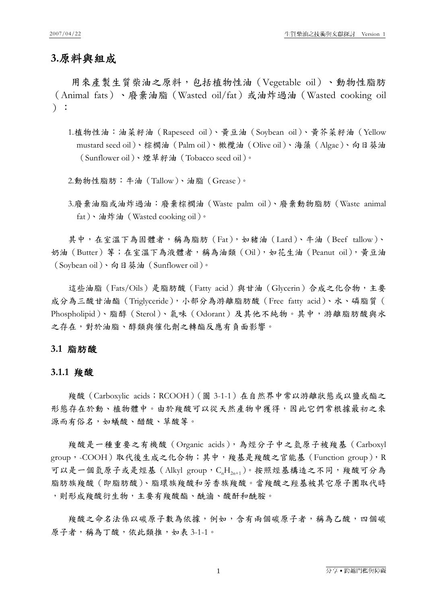#### **3.**原料與組成

用來產製生質柴油之原料,包括植物性油(Vegetable oil)、動物性脂肪 (Animal fats)、廢棄油脂(Wasted oil/fat)或油炸過油(Wasted cooking oil ):

1.植物性油:油菜籽油(Rapeseed oil)、黃豆油(Soybean oil)、黃芥菜籽油(Yellow mustard seed oil)、棕櫚油(Palm oil)、橄欖油(Olive oil)、海藻(Algae)、向日葵油 (Sunflower oil)、煙草籽油(Tobacco seed oil)。

2.動物性脂肪:牛油(Tallow)、油脂(Grease)。

3.廢棄油脂或油炸過油:廢棄棕櫚油(Waste palm oil)、廢棄動物脂肪(Waste animal fat)、油炸油(Wasted cooking oil)。

其中,在室溫下為固體者,稱為脂肪 (Fat), 如豬油 (Lard)、牛油 (Beef tallow)、 奶油(Butter)等;在室溫下為液體者,稱為油類(Oil),如花生油(Peanut oil),黃豆油 (Soybean oil)、向日葵油(Sunflower oil)。

這些油脂(Fats/Oils)是脂肪酸(Fatty acid)與甘油(Glycerin)合成之化合物,主要 成分為三酸甘油酯(Triglyceride),小部分為游離脂肪酸(Free fatty acid)、水、磷脂質( Phospholipid)、脂醇(Sterol)、氣味(Odorant)及其他不純物。其中,游離脂肪酸與水 之存在,對於油脂、醇類與催化劑之轉酯反應有負面影響。

#### **3.1** 脂肪酸

#### **3.1.1** 羧酸

羧酸(Carboxylic acids;RCOOH)(圖 3-1-1)在自然界中常以游離狀態或以鹽或酯之 形態存在於動、植物體中。由於羧酸可以從天然產物中獲得,因此它們常根據最初之來 源而有俗名,如蟻酸、醋酸、草酸等。

羧酸是一種重要之有機酸(Organic acids),為烴分子中之氫原子被羧基(Carboxyl group, -COOH)取代後生成之化合物;其中,羧基是羧酸之官能基(Function group), R 可以是一個氫原子或是烴基(Alkyl group, CH2n+1)。按照烴基構造之不同,羧酸可分為 脂肪族羧酸(即脂肪酸)、脂環族羧酸和芳香族羧酸。當羧酸之羥基被其它原子團取代時 ,則形成羧酸衍生物,主要有羧酸酯、酰滷、酸酐和酰胺。

羧酸之命名法係以碳原子數為依據,例如,含有兩個碳原子者,稱為乙酸,四個碳 原子者,稱為丁酸,依此類推,如表 3-1-1。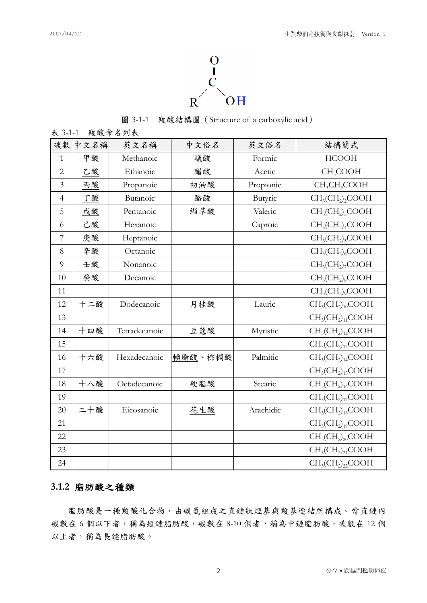

圖 3-1-1 羧酸結構圖(Structure of a carboxylic acid)

| 羧酸命名列表<br>表 3-1-1 |      |               |         |           |                                      |  |  |  |
|-------------------|------|---------------|---------|-----------|--------------------------------------|--|--|--|
| 碳數                | 中文名稱 | 英文名稱          | 中文俗名    | 英文俗名      | 結構簡式                                 |  |  |  |
| $\mathbf{1}$      | 甲酸   | Methanoic     | 蟻酸      | Formic    | <b>HCOOH</b>                         |  |  |  |
| $\overline{2}$    | 乙酸   | Ethanoic      | 醋酸      | Acetic    | CH <sub>3</sub> COOH                 |  |  |  |
| $\mathfrak{Z}$    | 丙酸   | Propanoic     | 初油酸     | Propionic | CH <sub>3</sub> CH <sub>2</sub> COOH |  |  |  |
| $\overline{4}$    | 丁酸   | Butanoic      | 酪酸      | Butyric   | $CH3(CH2)2COOH$                      |  |  |  |
| 5                 | 戊酸   | Pentanoic     | 纈草酸     | Valeric   | $CH3(CH2)3COOH$                      |  |  |  |
| 6                 | 己酸   | Hexanoic      |         | Caproic   | $CH3(CH2)4COOH$                      |  |  |  |
| 7                 | 庚酸   | Heptanoic     |         |           | $CH3(CH2)5COOH$                      |  |  |  |
| 8                 | 辛酸   | Octanoic      |         |           | $CH3(CH2)6COOH$                      |  |  |  |
| 9                 | 壬酸   | Nonanoic      |         |           | $CH3(CH2)7COOH$                      |  |  |  |
| 10                | 癸酸   | Decanoic      |         |           | $CH3(CH2)8COOH$                      |  |  |  |
| 11                |      |               |         |           | $CH3(CH2)9COOH$                      |  |  |  |
| 12                | 十二酸  | Dodecanoic    | 月桂酸     | Lauric    | $CH3(CH2)10COOH$                     |  |  |  |
| 13                |      |               |         |           | $CH3(CH2)11COOH$                     |  |  |  |
| 14                | 十四酸  | Tetradecanoic | 豆蔻酸     | Myristic  | $CH3(CH2)12COOH$                     |  |  |  |
| 15                |      |               |         |           | $CH3(CH2)13COOH$                     |  |  |  |
| 16                | 十六酸  | Hexadecanoic  | 輭脂酸、棕櫚酸 | Palmitic  | $CH3(CH2)14COOH$                     |  |  |  |
| 17                |      |               |         |           | $CH3(CH2)15COOH$                     |  |  |  |
| 18                | 十八酸  | Octadecanoic  | 硬脂酸     | Stearic   | $CH3(CH2)16COOH$                     |  |  |  |
| 19                |      |               |         |           | $CH3(CH2)17COOH$                     |  |  |  |
| 20                | 二十酸  | Eicosanoic    | 花生酸     | Arachidic | $CH3(CH2)18COOH$                     |  |  |  |
| 21                |      |               |         |           | $CH3(CH2)19COOH$                     |  |  |  |
| 22                |      |               |         |           | $CH3(CH2)20COOH$                     |  |  |  |
| 23                |      |               |         |           | $CH3(CH2)21COOH$                     |  |  |  |
| 24                |      |               |         |           | $CH3(CH2)22COOH$                     |  |  |  |

#### **3.1.2** 脂肪酸之種類

脂肪酸是一種羧酸化合物,由碳氫組成之直鏈狀烴基與羧基連結所構成。當直鏈內 碳數在 6 個以下者,稱為短鏈脂肪酸,碳數在 8-10 個者,稱為中鏈脂肪酸,碳數在 12 個 以上者,稱為長鏈脂肪酸。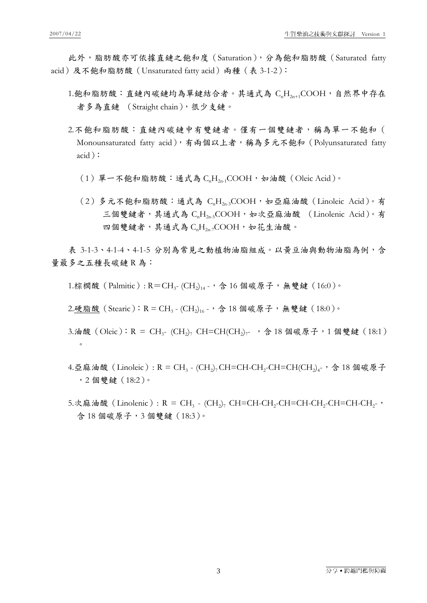此外,脂肪酸亦可依據直鏈之飽和度(Saturation),分為飽和脂肪酸(Saturated fatty acid)及不飽和脂肪酸(Unsaturated fatty acid)兩種(表 3-1-2):

- 1.飽和脂肪酸:直鏈內碳鏈均為單鍵結合者。其通式為  $C_nH_{2n+1}$ COOH,自然界中存在 者多為直鏈 (Straight chain),很少支鏈。
- 2.不飽和脂肪酸:直鏈內碳鏈中有雙鏈者。僅有一個雙鏈者,稱為單一不飽和( Monounsaturated fatty acid),有兩個以上者,稱為多元不飽和 (Polyunsaturated fatty acid):
	- $(1)$ 單一不飽和脂肪酸:通式為  $CH_{2n}$ : COOH, 如油酸 (Oleic Acid)。
	- $(2)$ 多元不飽和脂肪酸: 通式為  $C_nH_{2n}$ 3COOH, 如亞麻油酸 (Linoleic Acid)。有 三個雙鍵者,其通式為 C<sub>a</sub>H<sub>2as</sub>COOH,如次亞麻油酸 (Linolenic Acid)。有 四個雙鍵者,其通式為 CH, COOH,如花生油酸。

表 3-1-3、4-1-4、4-1-5 分別為常見之動植物油脂組成。以黃豆油與動物油脂為例, 含 量最多之五種長碳鏈 R 為:

1.棕櫚酸 (Palmitic):  $R = CH_{3}$ - (CH<sub>2</sub>)<sub>14</sub> -, 含 16 個碳原子, 無雙鍵 (16:0)。

2.硬脂酸 (Stearic):  $R = CH_3 - (CH_2)_{16}$ ., 含 18 個碳原子, 無雙鍵 (18:0)。

- 3.油酸(Oleic): R = CH<sub>3</sub>- (CH<sub>2</sub>)<sub>7</sub> CH=CH(CH<sub>2</sub>)<sub>7</sub>-, 含 18 個碳原子, 1 個雙鍵(18:1)  $\circ$
- 4.亞麻油酸 (Linoleic):  $R = CH_3 (CH_2)_7$ CH=CH-CH<sub>2</sub>-CH=CH(CH<sub>2</sub>)<sub>4</sub>-, 含 18 個碳原子 ,2 個雙鍵(18:2)。
- 5.次麻油酸(Linolenic):  $R = CH_3 (CH_2)_7$  CH=CH-CH<sub>2</sub>-CH=CH-CH<sub>2</sub>-CH=CH-CH<sub>2</sub>- $\cdot$ , 含 18 個碳原子,3 個雙鍵(18:3)。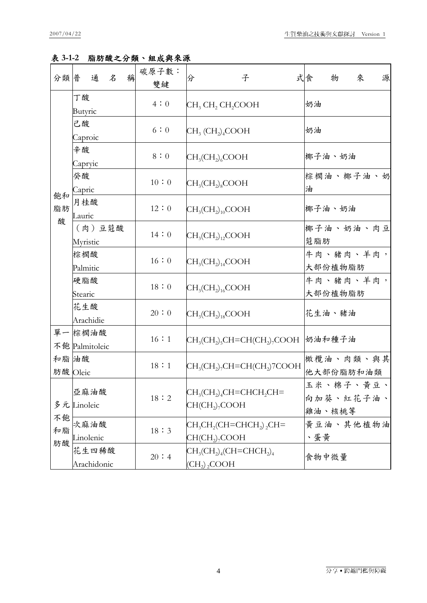#### 表 **3-1-2** 脂肪酸之分類、組成與來源

| 分類普            | 通<br>稱<br>名              | 碳原子數:<br>雙鍵 | 子<br>分                                                            | 源<br>式食<br>來<br>物                |  |  |  |
|----------------|--------------------------|-------------|-------------------------------------------------------------------|----------------------------------|--|--|--|
|                | 丁酸<br>Butyric            | 4:0         | CH <sub>3</sub> CH <sub>2</sub> CH <sub>2</sub> COOH              | 奶油                               |  |  |  |
|                | 己酸<br>Caproic            | 6:0         | $CH3(CH2)4COOH$                                                   | 奶油                               |  |  |  |
|                | 辛酸<br>Capryic            | 8:0         | $CH3(CH2)6COOH$                                                   | 椰子油、奶油                           |  |  |  |
|                | 癸酸<br>Capric             | $10:0$      | $CH3(CH2)8COOH$                                                   | 棕櫚油、椰子油、奶<br>油                   |  |  |  |
| 飽和<br>脂肪<br>酸  | 月桂酸<br>Lauric            | 12:0        | $CH3(CH2)10COOH$                                                  | 椰子油、奶油                           |  |  |  |
|                | (肉)豆蔻酸<br>Myristic       | 14:0        | $CH3(CH2)12COOH$                                                  | 椰子油、奶油、肉豆<br>蒄脂肪                 |  |  |  |
|                | 棕櫚酸<br>Palmitic          | 16:0        | $CH3(CH2)14COOH$                                                  | 牛肉、豬肉、羊肉,<br>大部份植物脂肪             |  |  |  |
|                | 硬脂酸<br>Stearic           | 18:0        | $CH_3(CH_2)_{16}$ COOH                                            | 牛肉、豬肉、羊肉,<br>大部份植物脂肪             |  |  |  |
|                | 花生酸<br>Arachidie         | 20:0        | $CH3(CH2)18COOH$                                                  | 花生油、豬油                           |  |  |  |
|                | 單一棕櫚油酸<br>不飽 Palmitoleic | 16:1        | $\rm CH_3(CH_2)_5 CH=CH(CH_2)_7 COOH$ 奶油和種子油                      |                                  |  |  |  |
| 和脂油酸           | 肪酸 Oleic                 | 18:1        | $CH3(CH2)7CH=CH(CH2)7COOH$                                        | 橄欖油、肉類、與其<br>他大部份脂肪和油類           |  |  |  |
| 不飽<br>和脂<br>肪酸 | 亞麻油酸<br>多元Linoleic       | 18:2        | $CH3(CH2)4CH=CHCH2CH=$<br>$CH(CH2$ , COOH                         | 玉米、棉子、黄豆、<br>向加葵、紅花子油、<br>雞油、核桃等 |  |  |  |
|                | 次麻油酸<br>Linolenic        | 18:3        | $CH3CH2(CH=CHCH2)2CH=$<br>CH(CH <sub>2</sub> ) <sub>7</sub> COOH  | 黄豆油、其他植物油<br>、蛋黄                 |  |  |  |
|                | 花生四稀酸<br>Arachidonic     | 20:4        | $CH_3CH_2)_4CH=CHCH_2)_4$<br>(CH <sub>2</sub> ) <sub>2</sub> COOH | 食物中微量                            |  |  |  |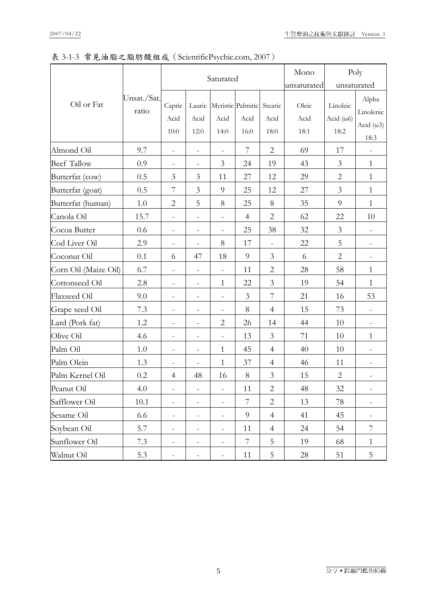### 表 3-1-3 常見油脂之脂肪酸組成(ScientificPsychic.com, 2007)

|                      | Unsat./Sat.<br>ratio | Saturated                    |                              |                          |                                   |                          | Mono<br>Poly          |                                       |                                                 |
|----------------------|----------------------|------------------------------|------------------------------|--------------------------|-----------------------------------|--------------------------|-----------------------|---------------------------------------|-------------------------------------------------|
|                      |                      |                              |                              |                          |                                   | unsaturated              | unsaturated           |                                       |                                                 |
| Oil or Fat           |                      | Capric<br>Acid<br>10:0       | Lauric<br>Acid<br>12:0       | Acid<br>14:0             | Myristic Palmitic<br>Acid<br>16:0 | Stearic<br>Acid<br>18:0  | Oleic<br>Acid<br>18:1 | Linoleic<br>Acid $(\omega 6)$<br>18:2 | Alpha<br>Linolenic<br>Acid $(\omega 3)$<br>18:3 |
| Almond Oil           | 9.7                  | $\frac{1}{2}$                | $\frac{1}{2}$                | $\overline{\phantom{0}}$ | 7                                 | $\overline{2}$           | 69                    | 17                                    |                                                 |
| <b>Beef Tallow</b>   | 0.9                  | $\overline{\phantom{a}}$     | $\overline{\phantom{a}}$     | 3                        | 24                                | 19                       | 43                    | 3                                     | $\mathbf{1}$                                    |
| Butterfat (cow)      | 0.5                  | 3                            | 3                            | 11                       | 27                                | 12                       | 29                    | $\mathbf{2}$                          | $\mathbf{1}$                                    |
| Butterfat (goat)     | 0.5                  | $\overline{7}$               | $\mathfrak{Z}$               | $\overline{9}$           | 25                                | 12                       | 27                    | 3                                     | $\mathbf{1}$                                    |
| Butterfat (human)    | 1.0                  | $\overline{2}$               | 5                            | 8                        | 25                                | 8                        | 35                    | 9                                     | $\mathbf{1}$                                    |
| Canola Oil           | 15.7                 | $\qquad \qquad \blacksquare$ | $\overline{\phantom{a}}$     | $\overline{\phantom{a}}$ | $\overline{4}$                    | $\mathbf{2}$             | 62                    | 22                                    | 10                                              |
| Cocoa Butter         | 0.6                  | $\overline{\phantom{a}}$     | $\overline{\phantom{a}}$     | $\overline{\phantom{a}}$ | 25                                | 38                       | 32                    | $\mathfrak{Z}$                        | $\overline{\phantom{a}}$                        |
| Cod Liver Oil        | 2.9                  | $\overline{\phantom{a}}$     | $\frac{1}{2}$                | 8                        | 17                                | $\overline{\phantom{a}}$ | 22                    | 5                                     | $\overline{\phantom{a}}$                        |
| Coconut Oil          | 0.1                  | 6                            | 47                           | 18                       | 9                                 | $\mathfrak{Z}$           | 6                     | $\overline{2}$                        | $\overline{\phantom{a}}$                        |
| Corn Oil (Maize Oil) | 6.7                  | $\qquad \qquad \blacksquare$ | $\qquad \qquad \blacksquare$ | $\frac{1}{2}$            | 11                                | $\overline{c}$           | 28                    | 58                                    | $\mathbf{1}$                                    |
| Cottonseed Oil       | 2.8                  | $\overline{a}$               | $\overline{\phantom{0}}$     | $\mathbf{1}$             | 22                                | $\mathfrak{Z}$           | 19                    | 54                                    | $\mathbf{1}$                                    |
| Flaxseed Oil         | 9.0                  | $\qquad \qquad -$            | $\overline{\phantom{0}}$     | $\overline{\phantom{a}}$ | 3                                 | $\overline{7}$           | 21                    | 16                                    | 53                                              |
| Grape seed Oil       | 7.3                  | $\overline{\phantom{a}}$     | $\qquad \qquad -$            | $\qquad \qquad -$        | 8                                 | $\overline{4}$           | 15                    | 73                                    | $\frac{1}{2}$                                   |
| Lard (Pork fat)      | 1.2                  | $\overline{\phantom{a}}$     | $\overline{\phantom{a}}$     | $\overline{2}$           | 26                                | 14                       | 44                    | 10                                    | $\overline{\phantom{a}}$                        |
| Olive Oil            | 4.6                  | $\qquad \qquad -$            | $\overline{\phantom{0}}$     | $\overline{\phantom{0}}$ | 13                                | 3                        | 71                    | 10                                    | $\mathbf{1}$                                    |
| Palm Oil             | 1.0                  | $\qquad \qquad \blacksquare$ | $\overline{\phantom{a}}$     | $\mathbf{1}$             | 45                                | $\overline{4}$           | 40                    | 10                                    | $\qquad \qquad -$                               |
| Palm Olein           | 1.3                  | $\qquad \qquad \blacksquare$ | $\qquad \qquad -$            | $\mathbf{1}$             | 37                                | $\overline{4}$           | 46                    | 11                                    | $\overline{\phantom{a}}$                        |
| Palm Kernel Oil      | 0.2                  | $\overline{4}$               | 48                           | 16                       | 8                                 | 3                        | 15                    | $\mathbf{2}$                          | $\overline{\phantom{a}}$                        |
| Peanut Oil           | 4.0                  | $\overline{\phantom{a}}$     | $\frac{1}{2}$                | $\overline{\phantom{a}}$ | 11                                | 2                        | 48                    | 32                                    | $\overline{\phantom{a}}$                        |
| Safflower Oil        | 10.1                 | $\overline{\phantom{a}}$     | $\overline{\phantom{a}}$     | $\frac{1}{2}$            | 7                                 | $\overline{2}$           | 13                    | 78                                    | $\overline{\phantom{a}}$                        |
| Sesame Oil           | 6.6                  | $\overline{\phantom{a}}$     | $\overline{\phantom{a}}$     | $\overline{\phantom{a}}$ | 9                                 | $\overline{4}$           | 41                    | 45                                    | $\overline{\phantom{a}}$                        |
| Soybean Oil          | 5.7                  | $\overline{\phantom{a}}$     | $\qquad \qquad -$            | $\overline{\phantom{a}}$ | 11                                | $\overline{4}$           | 24                    | 54                                    | 7                                               |
| Sunflower Oil        | 7.3                  | $\overline{\phantom{a}}$     | $\qquad \qquad -$            | $\qquad \qquad -$        | 7                                 | 5                        | 19                    | 68                                    | $\mathbf{1}$                                    |
| Walnut Oil           | 5.3                  | $\overline{\phantom{a}}$     | $\qquad \qquad \blacksquare$ | $\overline{\phantom{0}}$ | 11                                | 5                        | 28                    | 51                                    | 5                                               |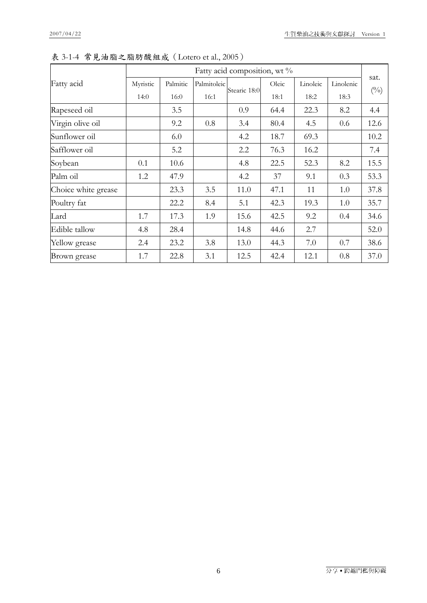|                     | Fatty acid composition, wt % |          |             |              |       |          |           |              |  |
|---------------------|------------------------------|----------|-------------|--------------|-------|----------|-----------|--------------|--|
| Fatty acid          | Myristic                     | Palmitic | Palmitoleic | Stearic 18:0 | Oleic | Linoleic | Linolenic | sat.         |  |
|                     | 14:0                         | 16:0     | 16:1        |              | 18:1  | 18:2     | 18:3      | $(^{0}_{0})$ |  |
| Rapeseed oil        |                              | 3.5      |             | 0.9          | 64.4  | 22.3     | 8.2       | 4.4          |  |
| Virgin olive oil    |                              | 9.2      | 0.8         | 3.4          | 80.4  | 4.5      | 0.6       | 12.6         |  |
| Sunflower oil       |                              | 6.0      |             | 4.2          | 18.7  | 69.3     |           | 10.2         |  |
| Safflower oil       |                              | 5.2      |             | 2.2          | 76.3  | 16.2     |           | 7.4          |  |
| Soybean             | 0.1                          | 10.6     |             | 4.8          | 22.5  | 52.3     | 8.2       | 15.5         |  |
| Palm oil            | 1.2                          | 47.9     |             | 4.2          | 37    | 9.1      | 0.3       | 53.3         |  |
| Choice white grease |                              | 23.3     | 3.5         | 11.0         | 47.1  | 11       | 1.0       | 37.8         |  |
| Poultry fat         |                              | 22.2     | 8.4         | 5.1          | 42.3  | 19.3     | 1.0       | 35.7         |  |
| Lard                | 1.7                          | 17.3     | 1.9         | 15.6         | 42.5  | 9.2      | 0.4       | 34.6         |  |
| Edible tallow       | 4.8                          | 28.4     |             | 14.8         | 44.6  | 2.7      |           | 52.0         |  |
| Yellow grease       | 2.4                          | 23.2     | 3.8         | 13.0         | 44.3  | 7.0      | 0.7       | 38.6         |  |
| Brown grease        | 1.7                          | 22.8     | 3.1         | 12.5         | 42.4  | 12.1     | 0.8       | 37.0         |  |

表 3-1-4 常見油脂之脂肪酸組成(Lotero et al., 2005)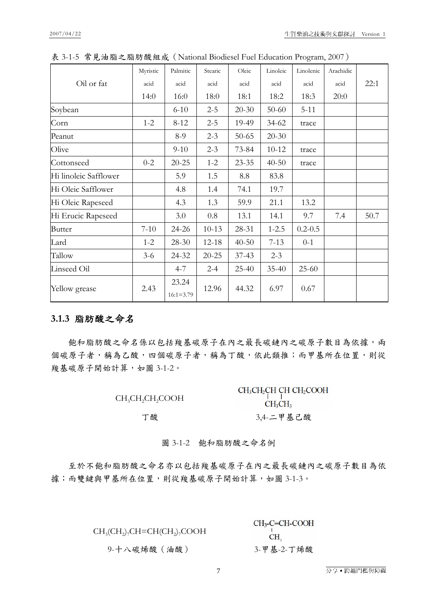|                       | Myristic | Palmitic      | Stearic   | Oleic     | Linoleic  | Linolenic   | Arachidic |      |
|-----------------------|----------|---------------|-----------|-----------|-----------|-------------|-----------|------|
| Oil or fat            | acid     | acid          | acid      | acid      | acid      | acid        | acid      | 22:1 |
|                       | 14:0     | 16:0          | 18:0      | 18:1      | 18:2      | 18:3        | 20:0      |      |
| Soybean               |          | $6 - 10$      | $2 - 5$   | $20 - 30$ | $50 - 60$ | $5 - 11$    |           |      |
| Corn                  | $1 - 2$  | $8 - 12$      | $2 - 5$   | 19-49     | 34-62     | trace       |           |      |
| Peanut                |          | $8-9$         | $2 - 3$   | $50 - 65$ | $20 - 30$ |             |           |      |
| Olive                 |          | $9 - 10$      | $2 - 3$   | 73-84     | $10 - 12$ | trace       |           |      |
| Cottonseed            | $0 - 2$  | $20 - 25$     | $1 - 2$   | $23 - 35$ | $40 - 50$ | trace       |           |      |
| Hi linoleic Safflower |          | 5.9           | 1.5       | 8.8       | 83.8      |             |           |      |
| Hi Oleic Safflower    |          | 4.8           | 1.4       | 74.1      | 19.7      |             |           |      |
| Hi Oleic Rapeseed     |          | 4.3           | 1.3       | 59.9      | 21.1      | 13.2        |           |      |
| Hi Erucic Rapeseed    |          | 3.0           | 0.8       | 13.1      | 14.1      | 9.7         | 7.4       | 50.7 |
| <b>Butter</b>         | $7 - 10$ | 24-26         | $10 - 13$ | 28-31     | $1 - 2.5$ | $0.2 - 0.5$ |           |      |
| Lard                  | $1 - 2$  | $28-30$       | $12 - 18$ | $40 - 50$ | $7 - 13$  | $0 - 1$     |           |      |
| Tallow                | $3-6$    | 24-32         | $20 - 25$ | $37 - 43$ | $2 - 3$   |             |           |      |
| Linseed Oil           |          | $4 - 7$       | $2 - 4$   | $25 - 40$ | $35 - 40$ | $25 - 60$   |           |      |
|                       | 2.43     | 23.24         | 12.96     |           |           | 0.67        |           |      |
| Yellow grease         |          | $16:1 = 3.79$ |           | 44.32     | 6.97      |             |           |      |

表 3-1-5 常見油脂之脂肪酸組成(National Biodiesel Fuel Education Program, 2007)

#### **3.1.3** 脂肪酸之命名

飽和脂肪酸之命名係以包括羧基碳原子在內之最長碳鏈內之碳原子數目為依據,兩 個碳原子者,稱為乙酸,稱為丁酸,依此類推;而甲基所在位置,則從 羧基碳原子開始計算,如圖 3-1-2。

| CH <sub>3</sub> CH <sub>2</sub> CH <sub>2</sub> COOH | $CH_3CH_2CH$ CH $CH_2COOH$<br>$CH_3CH_3$ |
|------------------------------------------------------|------------------------------------------|
| 丁酸                                                   | 3,4-二甲基己酸                                |

圖 3-1-2 飽和脂肪酸之命名例

至於不飽和脂肪酸之命名亦以包括羧基碳原子在內之最長碳鏈內之碳原子數目為依 據;而雙鍵與甲基所在位置,則從羧基碳原子開始計算,如圖 3-1-3。

| $CH3(CH2)7CH=CH(CH2)7COOH$ | $CH3$ -C=CH-COOH<br>CH. |
|----------------------------|-------------------------|
| 9-十八碳烯酸(油酸)                | 3-甲基-2-丁烯酸              |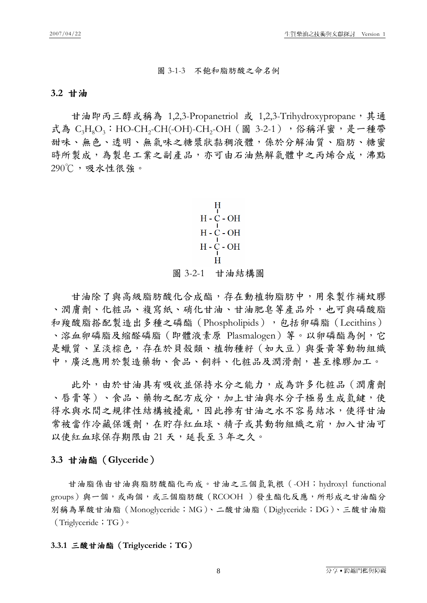#### 圖 3-1-3 不飽和脂肪酸之命名例

#### **3.2** 甘油

甘油即丙三醇或稱為 1,2,3-Propanetriol 或 1,2,3-Trihydroxypropane,其通 式為 C<sub>3</sub>H<sub>8</sub>O<sub>3</sub>: HO-CH<sub>2</sub>-CH(-OH)-CH<sub>2</sub>-OH (圖 3-2-1),俗稱洋蜜,是一種帶 甜味、無色、透明、無氣味之糖漿狀黏稠液體,係於分解油質、脂肪、糖蜜 時所製成,為製皂工業之副產品,亦可由石油熱解氣體中之丙烯合成,沸點 290℃,吸水性很強。

> $H$  $H - C - OH$  $H - C - OH$  $H - C - OH$ H 圖 3-2-1 甘油結構圖

甘油除了與高級脂肪酸化合成酯,存在動植物脂肪中,用來製作補蚊膠 、潤膚劑、化粧品、複寫紙、硝化甘油、甘油肥皂等產品外,也可與磷酸脂 和羧酸脂搭配製造出多種之磷酯(Phospholipids),包括卵磷脂(Lecithins) 、溶血卵磷脂及縮醛磷脂(即體液素原 Plasmalogen)等。以卵磷酯為例,它 是蠟質、呈淡棕色,存在於貝殼類、植物種籽(如大豆)與蛋黃等動物組織 中,廣泛應用於製造藥物、食品、飼料、化粧品及潤滑劑,甚至橡膠加工。

此外,由於甘油具有吸收並保持水分之能力,成為許多化粧品(潤膚劑 、唇膏等)、食品、藥物之配方成分,加上甘油與水分子極易生成氫鍵,使 得水與水間之規律性結構被擾亂,因此摻有甘油之水不容易結冰,使得甘油 常被當作冷藏保護劑,在貯存紅血球、精子或其動物組織之前,加入甘油可 以使紅血球保存期限由 21 天,延長至3年之久。

#### **3.3** 甘油酯(**Glyceride**)

甘油脂係由甘油與脂肪酸酯化而成。甘油之三個氫氧根(-OH;hydroxyl functional groups)與一個,或兩個,或三個脂肪酸(RCOOH)發生酯化反應,所形成之甘油酯分 別稱為單酸甘油脂(Monoglyceride;MG)、二酸甘油脂(Diglyceride;DG)、三酸甘油脂 (Triglyceride; TG)。

#### **3.3.1** 三酸甘油酯(**Triglyceride**;**TG**)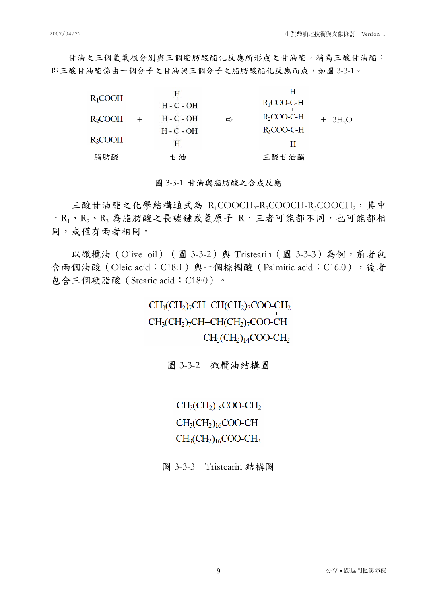甘油之三個氫氧根分別與三個脂肪酸酯化反應所形成之甘油酯,稱為三酸甘油酯; 即三酸甘油酯係由一個分子之甘油與三個分子之脂肪酸酯化反應而成,如圖 3-3-1。

| $R_1$ COOH | $H - C - OH$ |   | $R_1$ COO-C-H |                       |
|------------|--------------|---|---------------|-----------------------|
| R2COOH     | $H - C - OH$ | ⇨ | $R2$ COO-C-H  | $+$ 3H <sub>2</sub> O |
| R3COOH     | $H - C - OH$ |   | $R_3$ COO-C-H |                       |
| 脂肪酸        | 甘油           |   | 三酸甘油酯         |                       |

圖 3-3-1 甘油與脂肪酸之合成反應

三酸甘油酯之化學結構通式為 R<sub>1</sub>COOCH<sub>2</sub>-R<sub>2</sub>COOCH-R<sub>3</sub>COOCH<sub>2</sub>,其中 , R1、R2、R3 為脂肪酸之長碳鏈或氫原子 R, 三者可能都不同, 也可能都相 同,或僅有兩者相同。

以橄欖油 (Olive oil) (圖 3-3-2)與 Tristearin (圖 3-3-3)為例,前者包 含兩個油酸 (Oleic acid;C18:1)與一個棕櫚酸 (Palmitic acid;C16:0),後者 包含三個硬脂酸(Stearic acid;C18:0)。

> $CH<sub>3</sub>(CH<sub>2</sub>)<sub>7</sub>CH=CH(CH<sub>2</sub>)<sub>7</sub>COO-CH<sub>2</sub>$  $CH<sub>3</sub>(CH<sub>2</sub>)<sub>7</sub>CH=CH(CH<sub>2</sub>)<sub>7</sub>COO-CH$  $CH<sub>3</sub>(CH<sub>2</sub>)<sub>14</sub>COO-CH<sub>2</sub>$

> > 圖 3-3-2 橄欖油結構圖

 $CH<sub>3</sub>(CH<sub>2</sub>)<sub>16</sub>COO-CH<sub>2</sub>$  $CH<sub>3</sub>(CH<sub>2</sub>)<sub>16</sub>COO-CH$  $CH<sub>3</sub>(CH<sub>2</sub>)<sub>16</sub>COO-CH<sub>2</sub>$ 

圖 3-3-3 Tristearin 結構圖